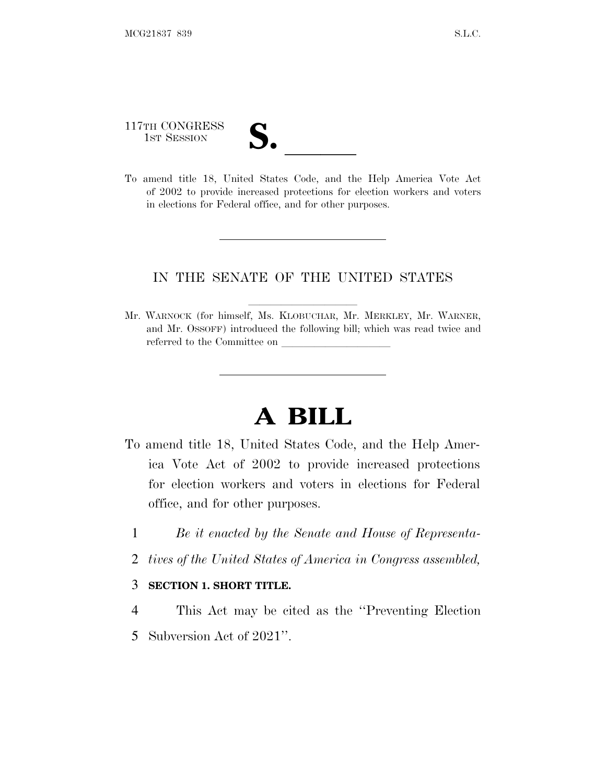117TH CONGRESS 117TH CONGRESS<br>1st Session<br>To amend title 18, United States Code, and the Help America Vote Act

of 2002 to provide increased protections for election workers and voters in elections for Federal office, and for other purposes.

### IN THE SENATE OF THE UNITED STATES

Mr. WARNOCK (for himself, Ms. KLOBUCHAR, Mr. MERKLEY, Mr. WARNER, and Mr. OSSOFF) introduced the following bill; which was read twice and referred to the Committee on

# **A BILL**

- To amend title 18, United States Code, and the Help America Vote Act of 2002 to provide increased protections for election workers and voters in elections for Federal office, and for other purposes.
	- 1 *Be it enacted by the Senate and House of Representa-*
	- 2 *tives of the United States of America in Congress assembled,*

#### 3 **SECTION 1. SHORT TITLE.**

- 4 This Act may be cited as the ''Preventing Election
- 5 Subversion Act of 2021''.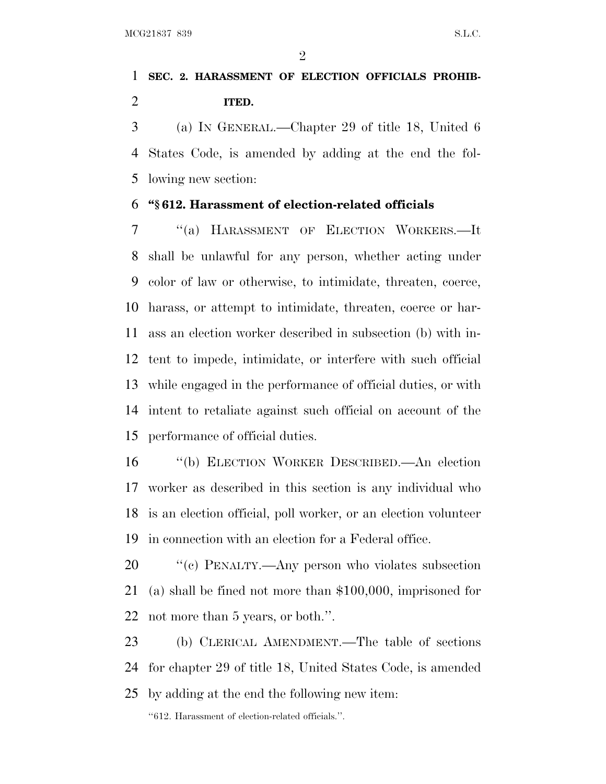$\mathfrak{D}$ 

## **SEC. 2. HARASSMENT OF ELECTION OFFICIALS PROHIB-ITED.**

 (a) IN GENERAL.—Chapter 29 of title 18, United 6 States Code, is amended by adding at the end the fol-lowing new section:

#### **''§ 612. Harassment of election-related officials**

 ''(a) HARASSMENT OF ELECTION WORKERS.—It shall be unlawful for any person, whether acting under color of law or otherwise, to intimidate, threaten, coerce, harass, or attempt to intimidate, threaten, coerce or har- ass an election worker described in subsection (b) with in- tent to impede, intimidate, or interfere with such official while engaged in the performance of official duties, or with intent to retaliate against such official on account of the performance of official duties.

 ''(b) ELECTION WORKER DESCRIBED.—An election worker as described in this section is any individual who is an election official, poll worker, or an election volunteer in connection with an election for a Federal office.

 ''(c) PENALTY.—Any person who violates subsection (a) shall be fined not more than \$100,000, imprisoned for not more than 5 years, or both.''.

 (b) CLERICAL AMENDMENT.—The table of sections for chapter 29 of title 18, United States Code, is amended by adding at the end the following new item:

''612. Harassment of election-related officials.''.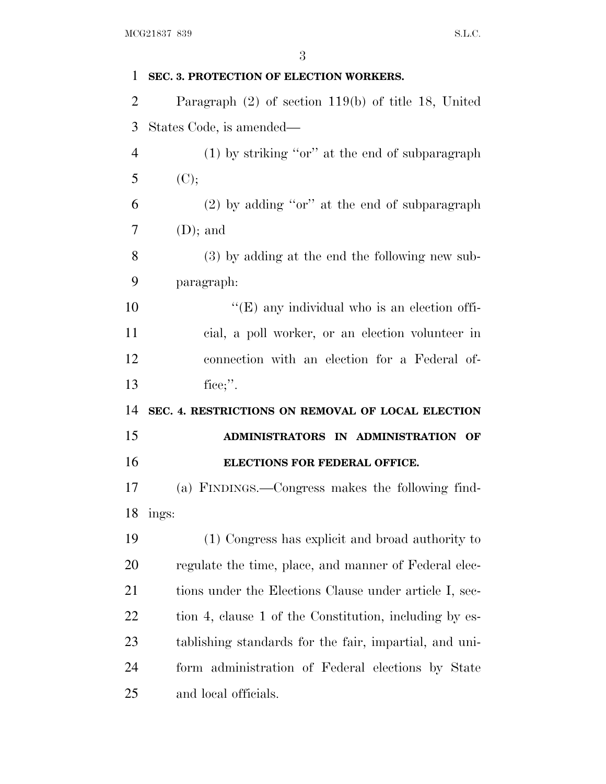| 1              | SEC. 3. PROTECTION OF ELECTION WORKERS.                |
|----------------|--------------------------------------------------------|
| $\overline{2}$ | Paragraph $(2)$ of section 119(b) of title 18, United  |
| 3              | States Code, is amended—                               |
| $\overline{4}$ | $(1)$ by striking "or" at the end of subparagraph      |
| 5              | (C);                                                   |
| 6              | $(2)$ by adding "or" at the end of subparagraph        |
| 7              | $(D)$ ; and                                            |
| 8              | (3) by adding at the end the following new sub-        |
| 9              | paragraph:                                             |
| 10             | $\lq\lq$ (E) any individual who is an election of fi-  |
| 11             | cial, a poll worker, or an election volunteer in       |
| 12             | connection with an election for a Federal of-          |
| 13             | fice;".                                                |
| 14             | SEC. 4. RESTRICTIONS ON REMOVAL OF LOCAL ELECTION      |
| 15             | ADMINISTRATORS IN ADMINISTRATION OF                    |
| 16             | ELECTIONS FOR FEDERAL OFFICE.                          |
| 17             | (a) FINDINGS.—Congress makes the following find-       |
|                | 18 ings:                                               |
| 19             | (1) Congress has explicit and broad authority to       |
| 20             | regulate the time, place, and manner of Federal elec-  |
| 21             | tions under the Elections Clause under article I, sec- |
| 22             | tion 4, clause 1 of the Constitution, including by es- |
| 23             | tablishing standards for the fair, impartial, and uni- |
|                |                                                        |
| 24             | form administration of Federal elections by State      |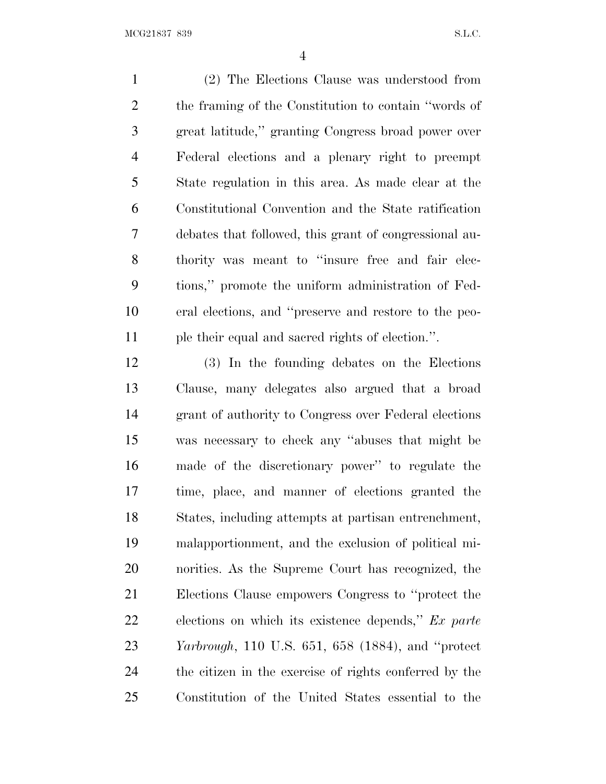(2) The Elections Clause was understood from the framing of the Constitution to contain ''words of great latitude,'' granting Congress broad power over Federal elections and a plenary right to preempt State regulation in this area. As made clear at the Constitutional Convention and the State ratification debates that followed, this grant of congressional au- thority was meant to ''insure free and fair elec- tions,'' promote the uniform administration of Fed- eral elections, and ''preserve and restore to the peo-ple their equal and sacred rights of election.''.

 (3) In the founding debates on the Elections Clause, many delegates also argued that a broad grant of authority to Congress over Federal elections was necessary to check any ''abuses that might be made of the discretionary power'' to regulate the time, place, and manner of elections granted the States, including attempts at partisan entrenchment, malapportionment, and the exclusion of political mi- norities. As the Supreme Court has recognized, the Elections Clause empowers Congress to ''protect the elections on which its existence depends,'' *Ex parte Yarbrough*, 110 U.S. 651, 658 (1884), and ''protect the citizen in the exercise of rights conferred by the Constitution of the United States essential to the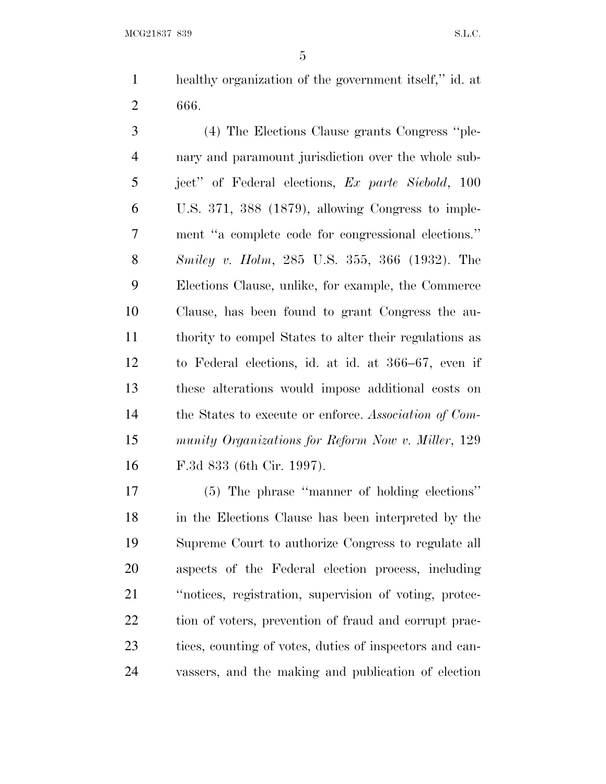healthy organization of the government itself,'' id. at 666.

 (4) The Elections Clause grants Congress ''ple- nary and paramount jurisdiction over the whole sub- ject'' of Federal elections, *Ex parte Siebold*, 100 U.S. 371, 388 (1879), allowing Congress to imple- ment ''a complete code for congressional elections.'' *Smiley v. Holm*, 285 U.S. 355, 366 (1932). The Elections Clause, unlike, for example, the Commerce Clause, has been found to grant Congress the au- thority to compel States to alter their regulations as to Federal elections, id. at id. at 366–67, even if these alterations would impose additional costs on the States to execute or enforce. *Association of Com- munity Organizations for Reform Now v. Miller*, 129 F.3d 833 (6th Cir. 1997).

 (5) The phrase ''manner of holding elections'' in the Elections Clause has been interpreted by the Supreme Court to authorize Congress to regulate all aspects of the Federal election process, including ''notices, registration, supervision of voting, protec-22 tion of voters, prevention of fraud and corrupt prac- tices, counting of votes, duties of inspectors and can-vassers, and the making and publication of election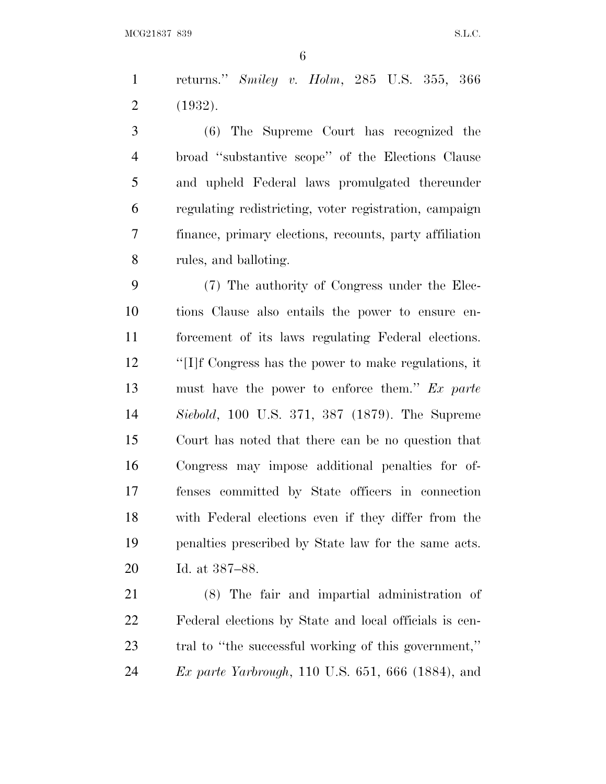returns.'' *Smiley v. Holm*, 285 U.S. 355, 366 (1932).

 (6) The Supreme Court has recognized the broad ''substantive scope'' of the Elections Clause and upheld Federal laws promulgated thereunder regulating redistricting, voter registration, campaign finance, primary elections, recounts, party affiliation rules, and balloting.

 (7) The authority of Congress under the Elec- tions Clause also entails the power to ensure en- forcement of its laws regulating Federal elections. ''[I]f Congress has the power to make regulations, it must have the power to enforce them.'' *Ex parte Siebold*, 100 U.S. 371, 387 (1879). The Supreme Court has noted that there can be no question that Congress may impose additional penalties for of- fenses committed by State officers in connection with Federal elections even if they differ from the penalties prescribed by State law for the same acts. Id. at 387–88.

 (8) The fair and impartial administration of Federal elections by State and local officials is cen- tral to ''the successful working of this government,'' *Ex parte Yarbrough*, 110 U.S. 651, 666 (1884), and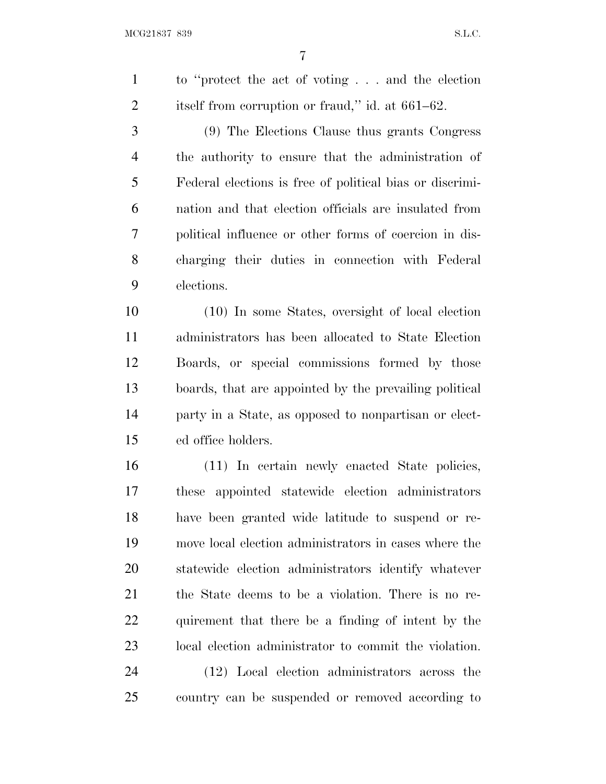to ''protect the act of voting . . . and the election 2 itself from corruption or fraud," id. at 661–62.

 (9) The Elections Clause thus grants Congress the authority to ensure that the administration of Federal elections is free of political bias or discrimi- nation and that election officials are insulated from political influence or other forms of coercion in dis- charging their duties in connection with Federal elections.

 (10) In some States, oversight of local election administrators has been allocated to State Election Boards, or special commissions formed by those boards, that are appointed by the prevailing political party in a State, as opposed to nonpartisan or elect-ed office holders.

 (11) In certain newly enacted State policies, these appointed statewide election administrators have been granted wide latitude to suspend or re- move local election administrators in cases where the statewide election administrators identify whatever the State deems to be a violation. There is no re- quirement that there be a finding of intent by the local election administrator to commit the violation.

 (12) Local election administrators across the country can be suspended or removed according to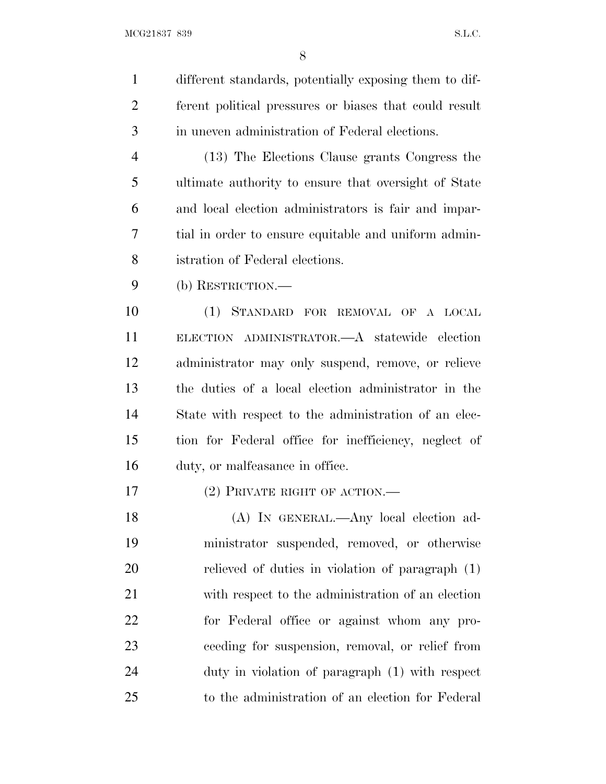different standards, potentially exposing them to dif- ferent political pressures or biases that could result in uneven administration of Federal elections. (13) The Elections Clause grants Congress the ultimate authority to ensure that oversight of State and local election administrators is fair and impar- tial in order to ensure equitable and uniform admin- istration of Federal elections. (b) RESTRICTION.— (1) STANDARD FOR REMOVAL OF A LOCAL ELECTION ADMINISTRATOR.—A statewide election administrator may only suspend, remove, or relieve the duties of a local election administrator in the State with respect to the administration of an elec- tion for Federal office for inefficiency, neglect of duty, or malfeasance in office. (2) PRIVATE RIGHT OF ACTION.— (A) IN GENERAL.—Any local election ad- ministrator suspended, removed, or otherwise relieved of duties in violation of paragraph (1) with respect to the administration of an election for Federal office or against whom any pro- ceeding for suspension, removal, or relief from duty in violation of paragraph (1) with respect

to the administration of an election for Federal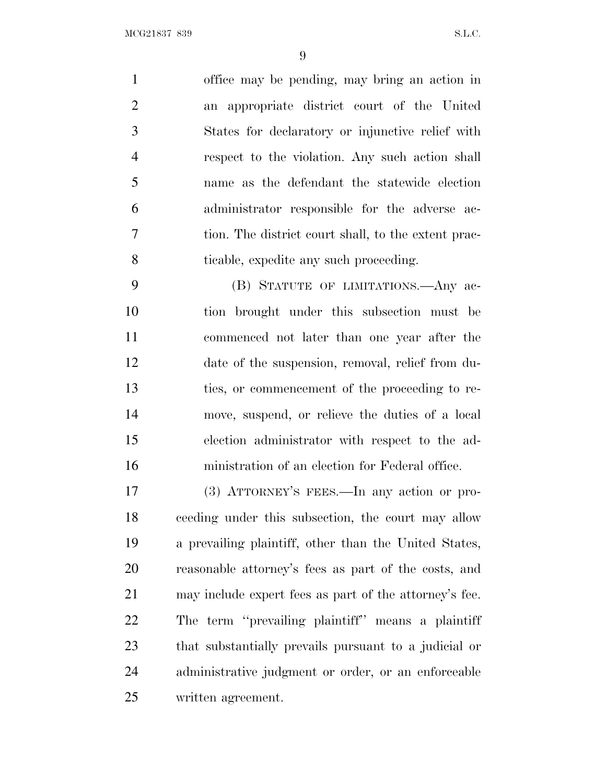office may be pending, may bring an action in an appropriate district court of the United States for declaratory or injunctive relief with respect to the violation. Any such action shall name as the defendant the statewide election administrator responsible for the adverse ac- tion. The district court shall, to the extent prac-ticable, expedite any such proceeding.

 (B) STATUTE OF LIMITATIONS.—Any ac- tion brought under this subsection must be commenced not later than one year after the date of the suspension, removal, relief from du- ties, or commencement of the proceeding to re- move, suspend, or relieve the duties of a local election administrator with respect to the ad-ministration of an election for Federal office.

 (3) ATTORNEY'S FEES.—In any action or pro- ceeding under this subsection, the court may allow a prevailing plaintiff, other than the United States, reasonable attorney's fees as part of the costs, and may include expert fees as part of the attorney's fee. The term ''prevailing plaintiff'' means a plaintiff that substantially prevails pursuant to a judicial or administrative judgment or order, or an enforceable written agreement.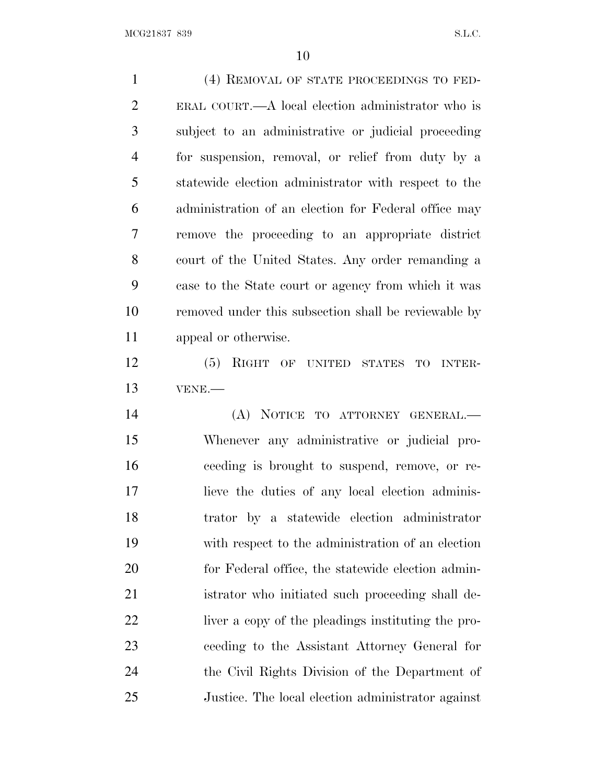(4) REMOVAL OF STATE PROCEEDINGS TO FED- ERAL COURT.—A local election administrator who is subject to an administrative or judicial proceeding for suspension, removal, or relief from duty by a statewide election administrator with respect to the administration of an election for Federal office may remove the proceeding to an appropriate district court of the United States. Any order remanding a case to the State court or agency from which it was removed under this subsection shall be reviewable by appeal or otherwise.

 (5) RIGHT OF UNITED STATES TO INTER-VENE.—

 (A) NOTICE TO ATTORNEY GENERAL.— Whenever any administrative or judicial pro- ceeding is brought to suspend, remove, or re- lieve the duties of any local election adminis- trator by a statewide election administrator with respect to the administration of an election for Federal office, the statewide election admin- istrator who initiated such proceeding shall de- liver a copy of the pleadings instituting the pro- ceeding to the Assistant Attorney General for the Civil Rights Division of the Department of Justice. The local election administrator against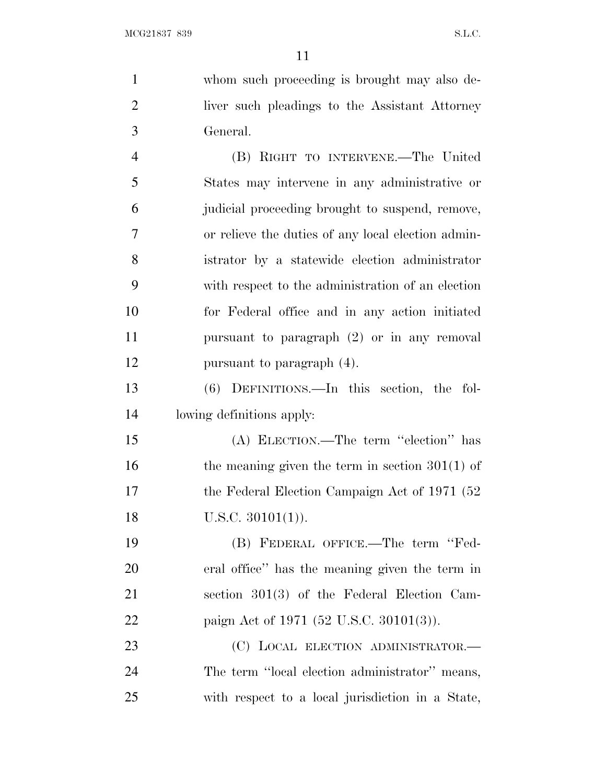whom such proceeding is brought may also de- liver such pleadings to the Assistant Attorney General. (B) RIGHT TO INTERVENE.—The United States may intervene in any administrative or judicial proceeding brought to suspend, remove, or relieve the duties of any local election admin- istrator by a statewide election administrator with respect to the administration of an election for Federal office and in any action initiated pursuant to paragraph (2) or in any removal

 (6) DEFINITIONS.—In this section, the fol-lowing definitions apply:

pursuant to paragraph (4).

 (A) ELECTION.—The term ''election'' has 16 the meaning given the term in section 301(1) of 17 the Federal Election Campaign Act of 1971 (52) 18 U.S.C. 30101(1)).

 (B) FEDERAL OFFICE.—The term ''Fed- eral office'' has the meaning given the term in section 301(3) of the Federal Election Cam-paign Act of 1971 (52 U.S.C. 30101(3)).

23 (C) LOCAL ELECTION ADMINISTRATOR.— The term ''local election administrator'' means, with respect to a local jurisdiction in a State,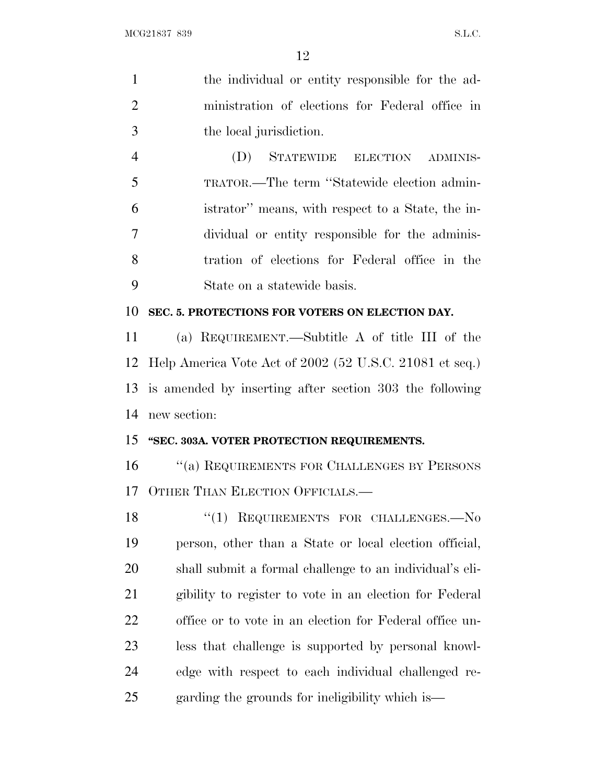| 1              | the individual or entity responsible for the ad-        |
|----------------|---------------------------------------------------------|
| $\overline{2}$ | ministration of elections for Federal office in         |
| 3              | the local jurisdiction.                                 |
| $\overline{4}$ | STATEWIDE ELECTION ADMINIS-<br>(D)                      |
| 5              | TRATOR.—The term "Statewide election admin-             |
| 6              | istrator" means, with respect to a State, the in-       |
| 7              | dividual or entity responsible for the adminis-         |
| 8              | tration of elections for Federal office in the          |
| 9              | State on a statewide basis.                             |
| 10             | SEC. 5. PROTECTIONS FOR VOTERS ON ELECTION DAY.         |
| 11             | (a) REQUIREMENT.—Subtitle A of title III of the         |
| 12             | Help America Vote Act of 2002 (52 U.S.C. 21081 et seq.) |
| 13             | is amended by inserting after section 303 the following |
| 14             | new section:                                            |
| 15             | "SEC. 303A. VOTER PROTECTION REQUIREMENTS.              |
| 16             | "(a) REQUIREMENTS FOR CHALLENGES BY PERSONS             |
| 17             | OTHER THAN ELECTION OFFICIALS.-                         |
| 18             | REQUIREMENTS FOR CHALLENGES.-No<br>``(1)                |
| 19             | person, other than a State or local election official,  |
| 20             | shall submit a formal challenge to an individual's eli- |
| 21             | gibility to register to vote in an election for Federal |
| 22             | office or to vote in an election for Federal office un- |
| 23             | less that challenge is supported by personal knowl-     |
| 24             | edge with respect to each individual challenged re-     |
| 25             | garding the grounds for ineligibility which is—         |
|                |                                                         |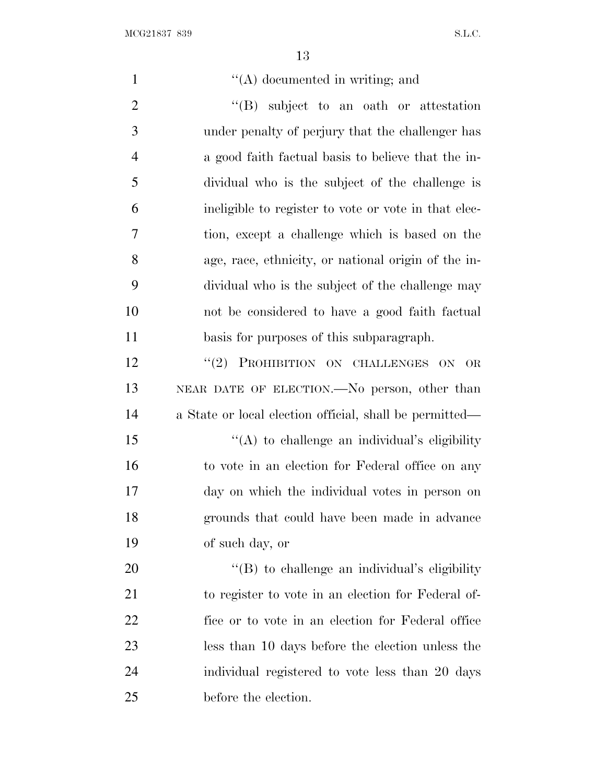| $\mathbf{1}$   | $\lq\lq$ documented in writing; and                     |
|----------------|---------------------------------------------------------|
| $\overline{2}$ | $\lq\lq$ subject to an oath or attestation              |
| 3              | under penalty of perjury that the challenger has        |
| $\overline{4}$ | a good faith factual basis to believe that the in-      |
| 5              | dividual who is the subject of the challenge is         |
| 6              | ineligible to register to vote or vote in that elec-    |
| 7              | tion, except a challenge which is based on the          |
| 8              | age, race, ethnicity, or national origin of the in-     |
| 9              | dividual who is the subject of the challenge may        |
| 10             | not be considered to have a good faith factual          |
| 11             | basis for purposes of this subparagraph.                |
| 12             | "(2) PROHIBITION ON CHALLENGES ON OR                    |
| 13             | NEAR DATE OF ELECTION.—No person, other than            |
| 14             | a State or local election official, shall be permitted— |
| 15             | "(A) to challenge an individual's eligibility           |
| 16             | to vote in an election for Federal office on any        |
| 17             | day on which the individual votes in person on          |
| 18             | grounds that could have been made in advance            |
| 19             | of such day, or                                         |
| 20             | $\lq\lq$ to challenge an individual's eligibility       |
| 21             | to register to vote in an election for Federal of-      |
| 22             | fice or to vote in an election for Federal office       |
| 23             | less than 10 days before the election unless the        |
| 24             | individual registered to vote less than 20 days         |
| 25             | before the election.                                    |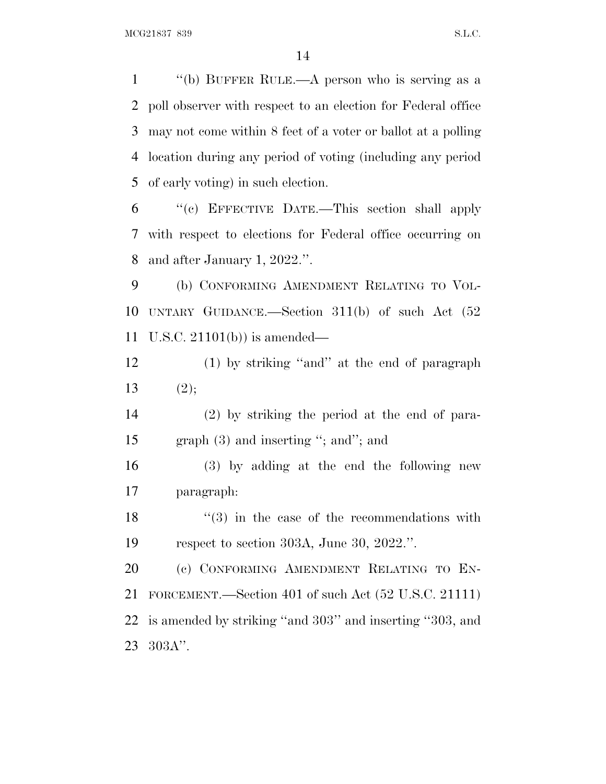''(b) BUFFER RULE.—A person who is serving as a poll observer with respect to an election for Federal office may not come within 8 feet of a voter or ballot at a polling location during any period of voting (including any period of early voting) in such election.

 ''(c) EFFECTIVE DATE.—This section shall apply with respect to elections for Federal office occurring on and after January 1, 2022.''.

 (b) CONFORMING AMENDMENT RELATING TO VOL- UNTARY GUIDANCE.—Section 311(b) of such Act (52 U.S.C. 21101(b)) is amended—

 (1) by striking ''and'' at the end of paragraph 13  $(2)$ ;

 (2) by striking the period at the end of para-15 graph (3) and inserting "; and"; and

 (3) by adding at the end the following new paragraph:

18  $(3)$  in the case of the recommendations with respect to section 303A, June 30, 2022.''.

 (c) CONFORMING AMENDMENT RELATING TO EN- FORCEMENT.—Section 401 of such Act (52 U.S.C. 21111) is amended by striking ''and 303'' and inserting ''303, and 303A''.